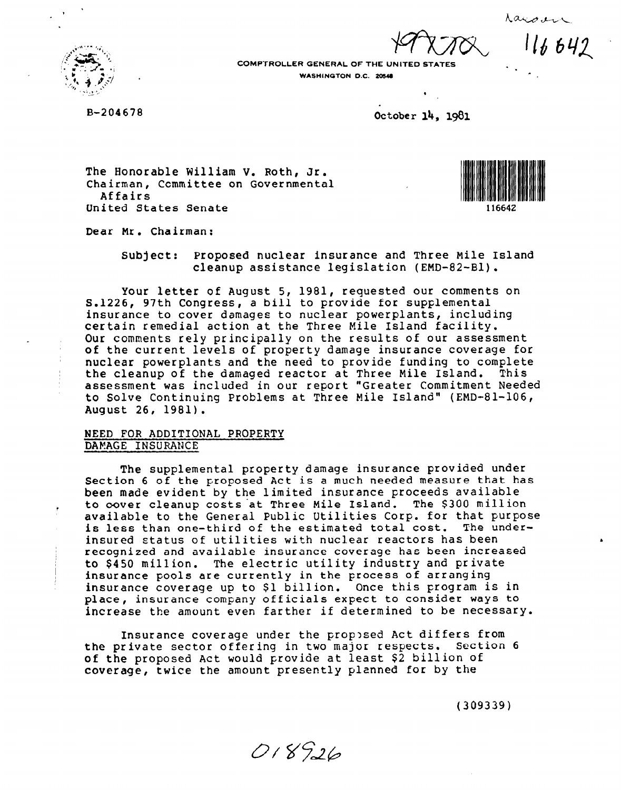$116642$ 



B-204678

.

COMPTROLLER GENERAL OF THE UNITED STATES WASHINGTON D.C. 20548

dctober 14, 1981

The Honorable William V. Roth, Jr. Chairman, Ccmmittee on Governmental Affairs United States Senate



- .

Dear Mr. Chairman:

Subject: Proposed nuclear insurance and Three Mile Island cleanup assistance legislation (EMD-82-Bl).

Your letter of August 5, 1981, requested our comments on S.1226, 97th Congress, a bill to provide for supplemental insurance to cover damages to nuclear powerplants, including certain remedial action at the Three Mile Island facility. Our comments rely principally on the results of our assessment of the current levels of property damage insurance coverage for nuclear powerplants and the need to provide funding to complete the cleanup of the damaged reactor at Three Mile Island. Thi assessment was included in our report "Greater Commitment Needed to Solve Continuing Problems at Three Mile Island" (EMD-81-106, August 26, 1981).

# NEED FOR ADDITIONAL PROPERTY DAMAGE INSURANCE

The supplemental property damage insurance provided under Section 6 of the proposed Act is a much needed measure that has been made evident by the limited insurance proceeds available to oover cleanup costs'at Three Mile Island. The \$300 million available to the General Public Utilities Corp. for that purpose is less than one-third of the estimated total cost. The underinsured status of utilities with nuclear reactors has been recognized and available insurance coverage has been increased to \$450 million. The electric utility industry and private insurance pools are currently in the process of arranging insurance coverage up to \$1 billion. Once this program is in place, insurance company officials expect to consider ways to increase the amount even farther if determined to be necessai

Insurance coverage under the proposed Act differs from the private sector offering in two major respects. Section 6 of the proposed Act would provide at least \$2 billion of coverage, twice the amount presently planned for by the

(309339)

018926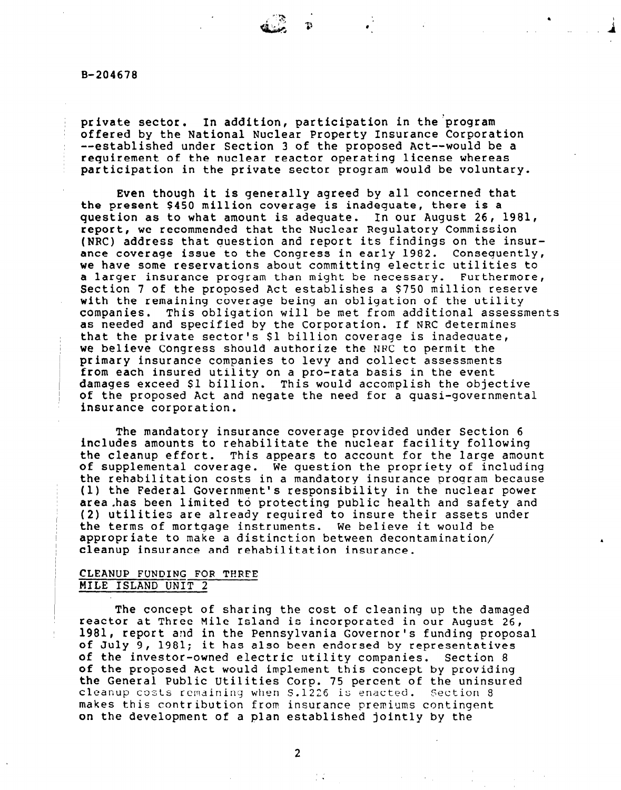B-204678

private sector. In addition, participation in the program offered by the National Nuclear Property Insurance Corporation --established under Section 3 of the proposed Act--would be a requirement of the nuclear reactor operating license whereas participation in the private sector program would be voluntary.

Even though it is generally agreed by all concerned that the present \$450 million coverage is inadequate, there is a question as to what amount is adequate. In our August 26, 1981, report, we recommended that the Nuclear Regulatory Commission (NRC) address that question and report its findings on the insurance coverage issue to the Congress in early 1982. Consequently, we have some reservations about committing electric utilities to a larger insurance program than might be necessary. Furthermore, Section 7 of the proposed Act establishes a \$750 million reserve with the remaining coverage being an obligation of the utility companies. This obligation will be met from additional assessments as needed and specified by the Corporation. If NRC determines that the private sector's \$1 billion coverage is inadequate, we believe Congress should authorize the NRC to permit the primary insurance companies to levy and collect assessments from each insured utility on a pro-rata basis in the event damages exceed \$1 billion. This would accomplish the objective of the proposed Act and negate the need for a quasi-governmental insurance corporation.

The mandatory insurance coverage provided under Section 6 includes amounts to rehabilitate the nuclear facility following the cleanup effort. This appears to account for the large amount of supplemental coverage. We question the propriety of including the rehabilitation costs in a mandatory insurance program because (1) the Federal Government's responsibility in the nuclear power area.has been limited to protecting public health and safety and (2) utilities are already required to insure their assets under the terms of mortgage instruments. We believe it would be appropriate to make a distinction between decontamination/ cleanup insurance and rehabilitation insurance.

## CLEANUP FUNDING FOR TERPE MILE ISLAND UNIT 2

 $\mathsf{L}^{\mathsf{L}}$ 

The concept of sharing the cost of cleaning up the damaged reactor at Three Mile Island is incorporated in our August 26, 1981, report and in the Pennsylvania Governor's funding proposal of July 9, 1981; it has also been endorsed by representatives of the investor-owned electric utility companies. Section 8 of the proposed Act would implement this concept by providing the General Public Utilities Corp. 75 percent of the uninsured cleanup costs remaining when  $S.1226$  is enacted. Section 8 makes this contribution from insurance premiums contingent on the development of a plan established jointly by the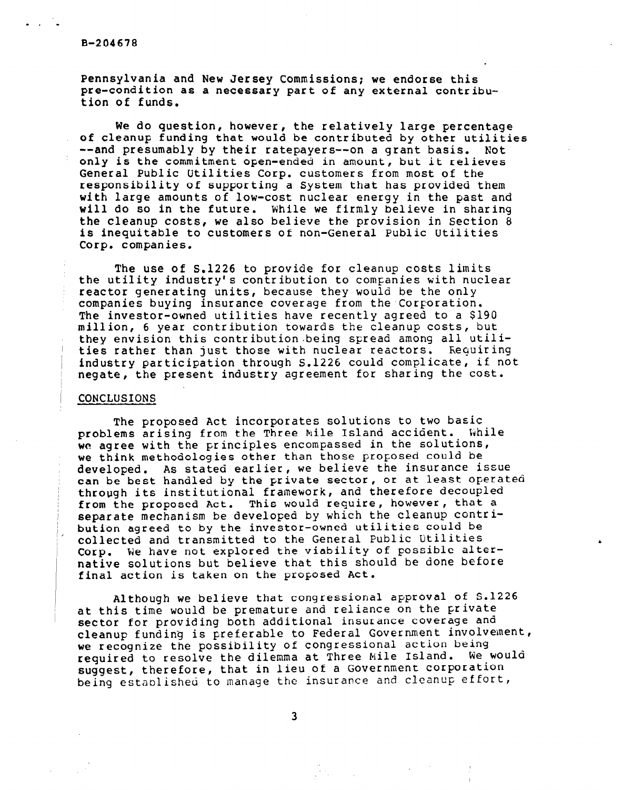#### B-204678

Pennsylvania and New Jersey Commissions; we endorse this pre-condition as a necessary part of any external contribution of funds.

We do question, however, the relatively large percentage of cleanup funding that would be contributed by other utilities --and presumably by their ratepayers--on a grant basis. Not only is the commitment open-ended in amount, but it relieves General Public Utilities Corp. customers from most of the responsibility of supporting a System that has provided them with large amounts of low-cost nuclear energy in the past and will do so in the future. While we firmly believe in sharing the cleanup costs, we also believe the provision in Section  $\ddot{\theta}$ is inequitable to customers of non-General Public Utilities Corp. companies.

The use of S.1226 to provide for cleanup costs limits the utility industry's contribution to companies with nuclear reactor generating units, because they would be the only companies buying insurance coverage from the Corporation. The investor-owned utilities have recently agreed to a \$190 mill ion, 6 year contribution towards the cleanup costs, but they envision this contribution being spread among all utilities rather than just those with nuclear reactors. Requiring industry participation through S.1226 could complicate, if not negate, the present industry agreement for sharing the cost.

### **CONCLUSIONS**

The proposed Act incorporates solutions to two basic problems arising from the Three Mile Island accident. While we agree with the principles encompassed in the solutions, we think methodologies other than those proposed could be developed. As stated earlier, we believe the insurance issue can be best handled by the private sector, or at least operated through its institutional framework, and therefore decoupled from the proposed Act. This would require, however, that a separate mechanism be developed by which the cleanup contribution agreed to by the investor-owned utilities could be collected and transmitted to the General Public Utilities Corp. We have not explored the viability of possible alternative solutions but believe that this should be done before final action is taken on the proposed Act.

Although we believe that congressional approval of S.1226 at this time would be premature and reliance on the private sector for providing both additional insurance coverage and cleanup funding is preferable to Federal Government involvement, we recognize the possibility of congressional action being required to resolve the dilemma at Three Nile Island. We would suggest, therefore, that in lieu of a Government corporation being established to manage the insurance and cleanup effort,